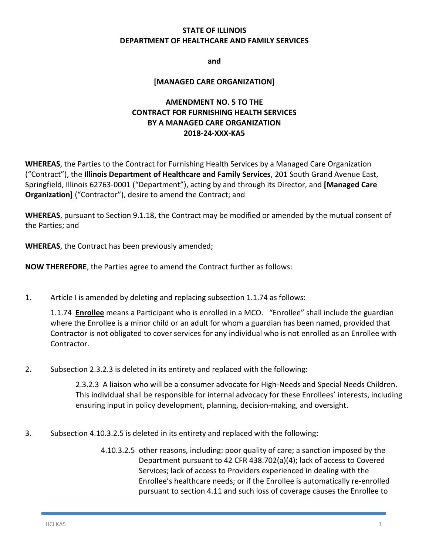#### **STATE OF ILLINOIS DEPARTMENT OF HEALTHCARE AND FAMILY SERVICES**

**and**

#### **[MANAGED CARE ORGANIZATION]**

#### **AMENDMENT NO. 5 TO THE CONTRACT FOR FURNISHING HEALTH SERVICES BY A MANAGED CARE ORGANIZATION 2018-24-XXX-KA5**

**WHEREAS**, the Parties to the Contract for Furnishing Health Services by a Managed Care Organization ("Contract"), the **Illinois Department of Healthcare and Family Services**, 201 South Grand Avenue East, Springfield, Illinois 62763-0001 ("Department"), acting by and through its Director, and **[Managed Care Organization]** ("Contractor"), desire to amend the Contract; and

**WHEREAS**, pursuant to Section 9.1.18, the Contract may be modified or amended by the mutual consent of the Parties; and

**WHEREAS**, the Contract has been previously amended;

**NOW THEREFORE**, the Parties agree to amend the Contract further as follows:

1. Article I is amended by deleting and replacing subsection 1.1.74 as follows:

1.1.74 **Enrollee** means a Participant who is enrolled in a MCO. "Enrollee" shall include the guardian where the Enrollee is a minor child or an adult for whom a guardian has been named, provided that Contractor is not obligated to cover services for any individual who is not enrolled as an Enrollee with Contractor.

2. Subsection 2.3.2.3 is deleted in its entirety and replaced with the following:

2.3.2.3 A liaison who will be a consumer advocate for High-Needs and Special Needs Children. This individual shall be responsible for internal advocacy for these Enrollees' interests, including ensuring input in policy development, planning, decision-making, and oversight.

- 3. Subsection 4.10.3.2.5 is deleted in its entirety and replaced with the following:
	- 4.10.3.2.5 other reasons, including: poor quality of care; a sanction imposed by the Department pursuant to 42 CFR 438.702(a)(4); lack of access to Covered Services; lack of access to Providers experienced in dealing with the Enrollee's healthcare needs; or if the Enrollee is automatically re-enrolled pursuant to section 4.11 and such loss of coverage causes the Enrollee to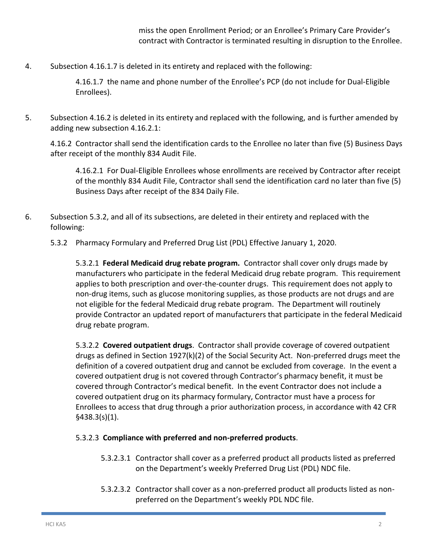miss the open Enrollment Period; or an Enrollee's Primary Care Provider's contract with Contractor is terminated resulting in disruption to the Enrollee.

4. Subsection 4.16.1.7 is deleted in its entirety and replaced with the following:

4.16.1.7 the name and phone number of the Enrollee's PCP (do not include for Dual-Eligible Enrollees).

5. Subsection 4.16.2 is deleted in its entirety and replaced with the following, and is further amended by adding new subsection 4.16.2.1:

4.16.2 Contractor shall send the identification cards to the Enrollee no later than five (5) Business Days after receipt of the monthly 834 Audit File.

4.16.2.1 For Dual-Eligible Enrollees whose enrollments are received by Contractor after receipt of the monthly 834 Audit File, Contractor shall send the identification card no later than five (5) Business Days after receipt of the 834 Daily File.

- 6. Subsection 5.3.2, and all of its subsections, are deleted in their entirety and replaced with the following:
	- 5.3.2 Pharmacy Formulary and Preferred Drug List (PDL) Effective January 1, 2020.

5.3.2.1 **Federal Medicaid drug rebate program.** Contractor shall cover only drugs made by manufacturers who participate in the federal Medicaid drug rebate program. This requirement applies to both prescription and over-the-counter drugs. This requirement does not apply to non-drug items, such as glucose monitoring supplies, as those products are not drugs and are not eligible for the federal Medicaid drug rebate program. The Department will routinely provide Contractor an updated report of manufacturers that participate in the federal Medicaid drug rebate program.

5.3.2.2 **Covered outpatient drugs**. Contractor shall provide coverage of covered outpatient drugs as defined in Section 1927(k)(2) of the Social Security Act. Non-preferred drugs meet the definition of a covered outpatient drug and cannot be excluded from coverage. In the event a covered outpatient drug is not covered through Contractor's pharmacy benefit, it must be covered through Contractor's medical benefit. In the event Contractor does not include a covered outpatient drug on its pharmacy formulary, Contractor must have a process for Enrollees to access that drug through a prior authorization process, in accordance with 42 CFR §438.3(s)(1).

#### 5.3.2.3 **Compliance with preferred and non-preferred products**.

- 5.3.2.3.1 Contractor shall cover as a preferred product all products listed as preferred on the Department's weekly Preferred Drug List (PDL) NDC file.
- 5.3.2.3.2 Contractor shall cover as a non-preferred product all products listed as nonpreferred on the Department's weekly PDL NDC file.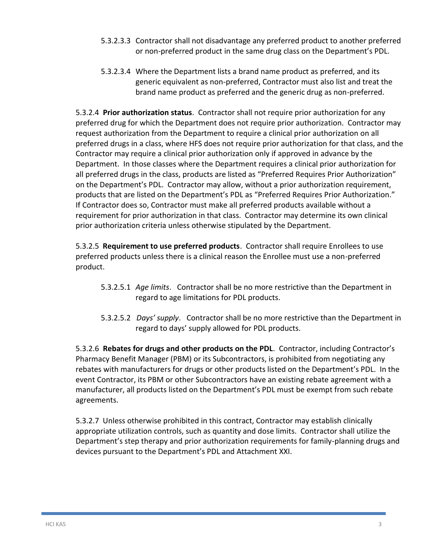- 5.3.2.3.3 Contractor shall not disadvantage any preferred product to another preferred or non-preferred product in the same drug class on the Department's PDL.
- 5.3.2.3.4 Where the Department lists a brand name product as preferred, and its generic equivalent as non-preferred, Contractor must also list and treat the brand name product as preferred and the generic drug as non-preferred.

5.3.2.4 **Prior authorization status**. Contractor shall not require prior authorization for any preferred drug for which the Department does not require prior authorization. Contractor may request authorization from the Department to require a clinical prior authorization on all preferred drugs in a class, where HFS does not require prior authorization for that class, and the Contractor may require a clinical prior authorization only if approved in advance by the Department. In those classes where the Department requires a clinical prior authorization for all preferred drugs in the class, products are listed as "Preferred Requires Prior Authorization" on the Department's PDL. Contractor may allow, without a prior authorization requirement, products that are listed on the Department's PDL as "Preferred Requires Prior Authorization." If Contractor does so, Contractor must make all preferred products available without a requirement for prior authorization in that class. Contractor may determine its own clinical prior authorization criteria unless otherwise stipulated by the Department.

5.3.2.5 **Requirement to use preferred products**. Contractor shall require Enrollees to use preferred products unless there is a clinical reason the Enrollee must use a non-preferred product.

- 5.3.2.5.1 *Age limits*. Contractor shall be no more restrictive than the Department in regard to age limitations for PDL products.
- 5.3.2.5.2 *Days' supply*. Contractor shall be no more restrictive than the Department in regard to days' supply allowed for PDL products.

5.3.2.6 **Rebates for drugs and other products on the PDL**. Contractor, including Contractor's Pharmacy Benefit Manager (PBM) or its Subcontractors, is prohibited from negotiating any rebates with manufacturers for drugs or other products listed on the Department's PDL. In the event Contractor, its PBM or other Subcontractors have an existing rebate agreement with a manufacturer, all products listed on the Department's PDL must be exempt from such rebate agreements.

5.3.2.7 Unless otherwise prohibited in this contract, Contractor may establish clinically appropriate utilization controls, such as quantity and dose limits. Contractor shall utilize the Department's step therapy and prior authorization requirements for family-planning drugs and devices pursuant to the Department's PDL and Attachment XXI.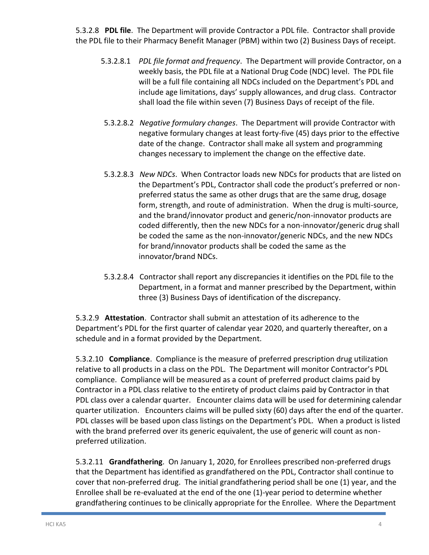5.3.2.8 **PDL file**. The Department will provide Contractor a PDL file. Contractor shall provide the PDL file to their Pharmacy Benefit Manager (PBM) within two (2) Business Days of receipt.

- 5.3.2.8.1 *PDL file format and frequency*. The Department will provide Contractor, on a weekly basis, the PDL file at a National Drug Code (NDC) level. The PDL file will be a full file containing all NDCs included on the Department's PDL and include age limitations, days' supply allowances, and drug class. Contractor shall load the file within seven (7) Business Days of receipt of the file.
- 5.3.2.8.2 *Negative formulary changes*. The Department will provide Contractor with negative formulary changes at least forty-five (45) days prior to the effective date of the change. Contractor shall make all system and programming changes necessary to implement the change on the effective date.
- 5.3.2.8.3 *New NDCs*. When Contractor loads new NDCs for products that are listed on the Department's PDL, Contractor shall code the product's preferred or nonpreferred status the same as other drugs that are the same drug, dosage form, strength, and route of administration. When the drug is multi-source, and the brand/innovator product and generic/non-innovator products are coded differently, then the new NDCs for a non-innovator/generic drug shall be coded the same as the non-innovator/generic NDCs, and the new NDCs for brand/innovator products shall be coded the same as the innovator/brand NDCs.
- 5.3.2.8.4 Contractor shall report any discrepancies it identifies on the PDL file to the Department, in a format and manner prescribed by the Department, within three (3) Business Days of identification of the discrepancy.

5.3.2.9 **Attestation**. Contractor shall submit an attestation of its adherence to the Department's PDL for the first quarter of calendar year 2020, and quarterly thereafter, on a schedule and in a format provided by the Department.

5.3.2.10 **Compliance**. Compliance is the measure of preferred prescription drug utilization relative to all products in a class on the PDL. The Department will monitor Contractor's PDL compliance. Compliance will be measured as a count of preferred product claims paid by Contractor in a PDL class relative to the entirety of product claims paid by Contractor in that PDL class over a calendar quarter. Encounter claims data will be used for determining calendar quarter utilization. Encounters claims will be pulled sixty (60) days after the end of the quarter. PDL classes will be based upon class listings on the Department's PDL. When a product is listed with the brand preferred over its generic equivalent, the use of generic will count as nonpreferred utilization.

5.3.2.11 **Grandfathering**. On January 1, 2020, for Enrollees prescribed non-preferred drugs that the Department has identified as grandfathered on the PDL, Contractor shall continue to cover that non-preferred drug. The initial grandfathering period shall be one (1) year, and the Enrollee shall be re-evaluated at the end of the one (1)-year period to determine whether grandfathering continues to be clinically appropriate for the Enrollee. Where the Department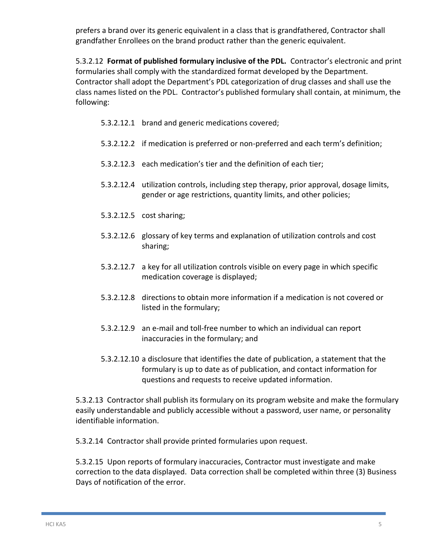prefers a brand over its generic equivalent in a class that is grandfathered, Contractor shall grandfather Enrollees on the brand product rather than the generic equivalent.

5.3.2.12 **Format of published formulary inclusive of the PDL.** Contractor's electronic and print formularies shall comply with the standardized format developed by the Department. Contractor shall adopt the Department's PDL categorization of drug classes and shall use the class names listed on the PDL. Contractor's published formulary shall contain, at minimum, the following:

- 5.3.2.12.1 brand and generic medications covered;
- 5.3.2.12.2 if medication is preferred or non-preferred and each term's definition;
- 5.3.2.12.3 each medication's tier and the definition of each tier;
- 5.3.2.12.4 utilization controls, including step therapy, prior approval, dosage limits, gender or age restrictions, quantity limits, and other policies;
- 5.3.2.12.5 cost sharing;
- 5.3.2.12.6 glossary of key terms and explanation of utilization controls and cost sharing;
- 5.3.2.12.7 a key for all utilization controls visible on every page in which specific medication coverage is displayed;
- 5.3.2.12.8 directions to obtain more information if a medication is not covered or listed in the formulary;
- 5.3.2.12.9 an e-mail and toll-free number to which an individual can report inaccuracies in the formulary; and
- 5.3.2.12.10 a disclosure that identifies the date of publication, a statement that the formulary is up to date as of publication, and contact information for questions and requests to receive updated information.

5.3.2.13 Contractor shall publish its formulary on its program website and make the formulary easily understandable and publicly accessible without a password, user name, or personality identifiable information.

5.3.2.14 Contractor shall provide printed formularies upon request.

5.3.2.15 Upon reports of formulary inaccuracies, Contractor must investigate and make correction to the data displayed. Data correction shall be completed within three (3) Business Days of notification of the error.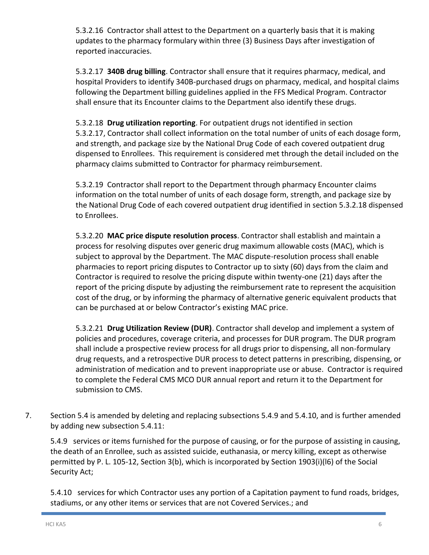5.3.2.16 Contractor shall attest to the Department on a quarterly basis that it is making updates to the pharmacy formulary within three (3) Business Days after investigation of reported inaccuracies.

5.3.2.17 **340B drug billing**. Contractor shall ensure that it requires pharmacy, medical, and hospital Providers to identify 340B-purchased drugs on pharmacy, medical, and hospital claims following the Department billing guidelines applied in the FFS Medical Program. Contractor shall ensure that its Encounter claims to the Department also identify these drugs.

5.3.2.18 **Drug utilization reporting**. For outpatient drugs not identified in section 5.3.2.17, Contractor shall collect information on the total number of units of each dosage form, and strength, and package size by the National Drug Code of each covered outpatient drug dispensed to Enrollees. This requirement is considered met through the detail included on the pharmacy claims submitted to Contractor for pharmacy reimbursement.

5.3.2.19 Contractor shall report to the Department through pharmacy Encounter claims information on the total number of units of each dosage form, strength, and package size by the National Drug Code of each covered outpatient drug identified in section 5.3.2.18 dispensed to Enrollees.

5.3.2.20 **MAC price dispute resolution process**. Contractor shall establish and maintain a process for resolving disputes over generic drug maximum allowable costs (MAC), which is subject to approval by the Department. The MAC dispute-resolution process shall enable pharmacies to report pricing disputes to Contractor up to sixty (60) days from the claim and Contractor is required to resolve the pricing dispute within twenty-one (21) days after the report of the pricing dispute by adjusting the reimbursement rate to represent the acquisition cost of the drug, or by informing the pharmacy of alternative generic equivalent products that can be purchased at or below Contractor's existing MAC price.

5.3.2.21 **Drug Utilization Review (DUR)**. Contractor shall develop and implement a system of policies and procedures, coverage criteria, and processes for DUR program. The DUR program shall include a prospective review process for all drugs prior to dispensing, all non-formulary drug requests, and a retrospective DUR process to detect patterns in prescribing, dispensing, or administration of medication and to prevent inappropriate use or abuse. Contractor is required to complete the Federal CMS MCO DUR annual report and return it to the Department for submission to CMS.

7. Section 5.4 is amended by deleting and replacing subsections 5.4.9 and 5.4.10, and is further amended by adding new subsection 5.4.11:

5.4.9 services or items furnished for the purpose of causing, or for the purpose of assisting in causing, the death of an Enrollee, such as assisted suicide, euthanasia, or mercy killing, except as otherwise permitted by P. L. 105-12, Section 3(b), which is incorporated by Section 1903(i)(l6) of the Social Security Act;

5.4.10 services for which Contractor uses any portion of a Capitation payment to fund roads, bridges, stadiums, or any other items or services that are not Covered Services.; and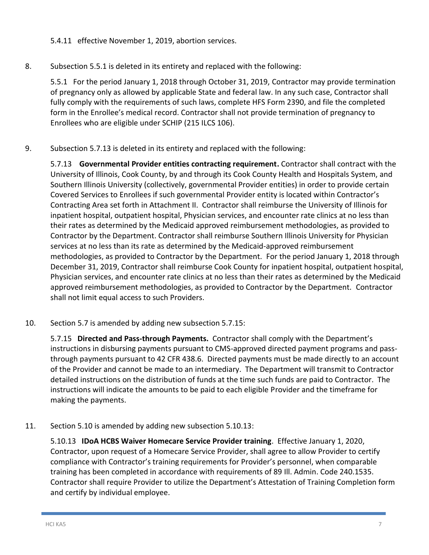5.4.11 effective November 1, 2019, abortion services.

8. Subsection 5.5.1 is deleted in its entirety and replaced with the following:

5.5.1 For the period January 1, 2018 through October 31, 2019, Contractor may provide termination of pregnancy only as allowed by applicable State and federal law. In any such case, Contractor shall fully comply with the requirements of such laws, complete HFS Form 2390, and file the completed form in the Enrollee's medical record. Contractor shall not provide termination of pregnancy to Enrollees who are eligible under SCHIP (215 ILCS 106).

9. Subsection 5.7.13 is deleted in its entirety and replaced with the following:

5.7.13 **Governmental Provider entities contracting requirement.** Contractor shall contract with the University of Illinois, Cook County, by and through its Cook County Health and Hospitals System, and Southern Illinois University (collectively, governmental Provider entities) in order to provide certain Covered Services to Enrollees if such governmental Provider entity is located within Contractor's Contracting Area set forth in Attachment II. Contractor shall reimburse the University of Illinois for inpatient hospital, outpatient hospital, Physician services, and encounter rate clinics at no less than their rates as determined by the Medicaid approved reimbursement methodologies, as provided to Contractor by the Department. Contractor shall reimburse Southern Illinois University for Physician services at no less than its rate as determined by the Medicaid-approved reimbursement methodologies, as provided to Contractor by the Department. For the period January 1, 2018 through December 31, 2019, Contractor shall reimburse Cook County for inpatient hospital, outpatient hospital, Physician services, and encounter rate clinics at no less than their rates as determined by the Medicaid approved reimbursement methodologies, as provided to Contractor by the Department. Contractor shall not limit equal access to such Providers.

10. Section 5.7 is amended by adding new subsection 5.7.15:

5.7.15 **Directed and Pass-through Payments.** Contractor shall comply with the Department's instructions in disbursing payments pursuant to CMS-approved directed payment programs and passthrough payments pursuant to 42 CFR 438.6. Directed payments must be made directly to an account of the Provider and cannot be made to an intermediary. The Department will transmit to Contractor detailed instructions on the distribution of funds at the time such funds are paid to Contractor. The instructions will indicate the amounts to be paid to each eligible Provider and the timeframe for making the payments.

11. Section 5.10 is amended by adding new subsection 5.10.13:

5.10.13 **IDoA HCBS Waiver Homecare Service Provider training**. Effective January 1, 2020, Contractor, upon request of a Homecare Service Provider, shall agree to allow Provider to certify compliance with Contractor's training requirements for Provider's personnel, when comparable training has been completed in accordance with requirements of 89 Ill. Admin. Code 240.1535. Contractor shall require Provider to utilize the Department's Attestation of Training Completion form and certify by individual employee.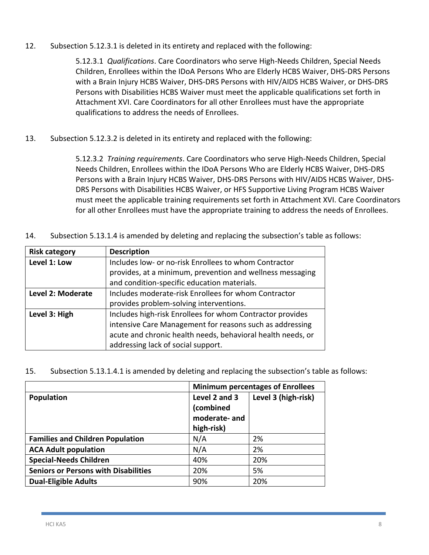12. Subsection 5.12.3.1 is deleted in its entirety and replaced with the following:

5.12.3.1 *Qualifications*. Care Coordinators who serve High-Needs Children, Special Needs Children, Enrollees within the IDoA Persons Who are Elderly HCBS Waiver, DHS-DRS Persons with a Brain Injury HCBS Waiver, DHS-DRS Persons with HIV/AIDS HCBS Waiver, or DHS-DRS Persons with Disabilities HCBS Waiver must meet the applicable qualifications set forth in Attachment XVI. Care Coordinators for all other Enrollees must have the appropriate qualifications to address the needs of Enrollees.

13. Subsection 5.12.3.2 is deleted in its entirety and replaced with the following:

5.12.3.2 *Training requirements*. Care Coordinators who serve High-Needs Children, Special Needs Children, Enrollees within the IDoA Persons Who are Elderly HCBS Waiver, DHS-DRS Persons with a Brain Injury HCBS Waiver, DHS-DRS Persons with HIV/AIDS HCBS Waiver, DHS-DRS Persons with Disabilities HCBS Waiver, or HFS Supportive Living Program HCBS Waiver must meet the applicable training requirements set forth in Attachment XVI. Care Coordinators for all other Enrollees must have the appropriate training to address the needs of Enrollees.

14. Subsection 5.13.1.4 is amended by deleting and replacing the subsection's table as follows:

| <b>Risk category</b> | <b>Description</b>                                          |  |
|----------------------|-------------------------------------------------------------|--|
| Level 1: Low         | Includes low- or no-risk Enrollees to whom Contractor       |  |
|                      | provides, at a minimum, prevention and wellness messaging   |  |
|                      | and condition-specific education materials.                 |  |
| Level 2: Moderate    | Includes moderate-risk Enrollees for whom Contractor        |  |
|                      | provides problem-solving interventions.                     |  |
| Level 3: High        | Includes high-risk Enrollees for whom Contractor provides   |  |
|                      | intensive Care Management for reasons such as addressing    |  |
|                      | acute and chronic health needs, behavioral health needs, or |  |
|                      | addressing lack of social support.                          |  |

15. Subsection 5.13.1.4.1 is amended by deleting and replacing the subsection's table as follows:

|                                             | <b>Minimum percentages of Enrollees</b>                  |                     |
|---------------------------------------------|----------------------------------------------------------|---------------------|
| Population                                  | Level 2 and 3<br>(combined<br>moderate-and<br>high-risk) | Level 3 (high-risk) |
| <b>Families and Children Population</b>     | N/A                                                      | 2%                  |
| <b>ACA Adult population</b>                 | N/A                                                      | 2%                  |
| <b>Special-Needs Children</b>               | 40%                                                      | 20%                 |
| <b>Seniors or Persons with Disabilities</b> | 20%                                                      | 5%                  |
| <b>Dual-Eligible Adults</b>                 | 90%                                                      | 20%                 |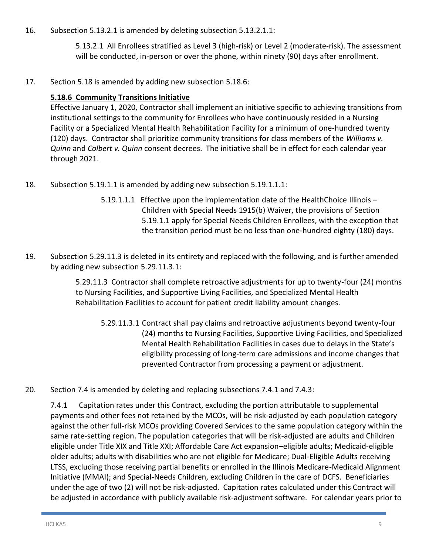16. Subsection 5.13.2.1 is amended by deleting subsection 5.13.2.1.1:

5.13.2.1 All Enrollees stratified as Level 3 (high-risk) or Level 2 (moderate-risk). The assessment will be conducted, in-person or over the phone, within ninety (90) days after enrollment.

17. Section 5.18 is amended by adding new subsection 5.18.6:

#### **5.18.6 Community Transitions Initiative**

Effective January 1, 2020, Contractor shall implement an initiative specific to achieving transitions from institutional settings to the community for Enrollees who have continuously resided in a Nursing Facility or a Specialized Mental Health Rehabilitation Facility for a minimum of one-hundred twenty (120) days. Contractor shall prioritize community transitions for class members of the *Williams v. Quinn* and *Colbert v. Quinn* consent decrees. The initiative shall be in effect for each calendar year through 2021.

- 18. Subsection 5.19.1.1 is amended by adding new subsection 5.19.1.1.1:
	- 5.19.1.1.1 Effective upon the implementation date of the HealthChoice Illinois Children with Special Needs 1915(b) Waiver, the provisions of Section 5.19.1.1 apply for Special Needs Children Enrollees, with the exception that the transition period must be no less than one-hundred eighty (180) days.
- 19. Subsection 5.29.11.3 is deleted in its entirety and replaced with the following, and is further amended by adding new subsection 5.29.11.3.1:

5.29.11.3 Contractor shall complete retroactive adjustments for up to twenty-four (24) months to Nursing Facilities, and Supportive Living Facilities, and Specialized Mental Health Rehabilitation Facilities to account for patient credit liability amount changes.

- 5.29.11.3.1 Contract shall pay claims and retroactive adjustments beyond twenty-four (24) months to Nursing Facilities, Supportive Living Facilities, and Specialized Mental Health Rehabilitation Facilities in cases due to delays in the State's eligibility processing of long-term care admissions and income changes that prevented Contractor from processing a payment or adjustment.
- 20. Section 7.4 is amended by deleting and replacing subsections 7.4.1 and 7.4.3:

7.4.1 Capitation rates under this Contract, excluding the portion attributable to supplemental payments and other fees not retained by the MCOs, will be risk-adjusted by each population category against the other full-risk MCOs providing Covered Services to the same population category within the same rate-setting region. The population categories that will be risk-adjusted are adults and Children eligible under Title XIX and Title XXI; Affordable Care Act expansion–eligible adults; Medicaid-eligible older adults; adults with disabilities who are not eligible for Medicare; Dual-Eligible Adults receiving LTSS, excluding those receiving partial benefits or enrolled in the Illinois Medicare-Medicaid Alignment Initiative (MMAI); and Special-Needs Children, excluding Children in the care of DCFS. Beneficiaries under the age of two (2) will not be risk-adjusted. Capitation rates calculated under this Contract will be adjusted in accordance with publicly available risk-adjustment software. For calendar years prior to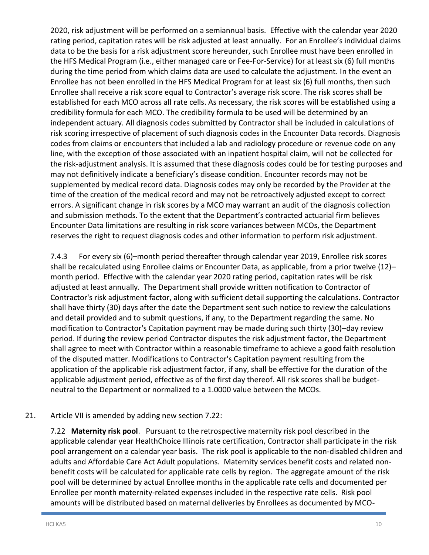2020, risk adjustment will be performed on a semiannual basis. Effective with the calendar year 2020 rating period, capitation rates will be risk adjusted at least annually. For an Enrollee's individual claims data to be the basis for a risk adjustment score hereunder, such Enrollee must have been enrolled in the HFS Medical Program (i.e., either managed care or Fee-For-Service) for at least six (6) full months during the time period from which claims data are used to calculate the adjustment. In the event an Enrollee has not been enrolled in the HFS Medical Program for at least six (6) full months, then such Enrollee shall receive a risk score equal to Contractor's average risk score. The risk scores shall be established for each MCO across all rate cells. As necessary, the risk scores will be established using a credibility formula for each MCO. The credibility formula to be used will be determined by an independent actuary. All diagnosis codes submitted by Contractor shall be included in calculations of risk scoring irrespective of placement of such diagnosis codes in the Encounter Data records. Diagnosis codes from claims or encounters that included a lab and radiology procedure or revenue code on any line, with the exception of those associated with an inpatient hospital claim, will not be collected for the risk-adjustment analysis. It is assumed that these diagnosis codes could be for testing purposes and may not definitively indicate a beneficiary's disease condition. Encounter records may not be supplemented by medical record data. Diagnosis codes may only be recorded by the Provider at the time of the creation of the medical record and may not be retroactively adjusted except to correct errors. A significant change in risk scores by a MCO may warrant an audit of the diagnosis collection and submission methods. To the extent that the Department's contracted actuarial firm believes Encounter Data limitations are resulting in risk score variances between MCOs, the Department reserves the right to request diagnosis codes and other information to perform risk adjustment.

7.4.3 For every six (6)–month period thereafter through calendar year 2019, Enrollee risk scores shall be recalculated using Enrollee claims or Encounter Data, as applicable, from a prior twelve (12)– month period. Effective with the calendar year 2020 rating period, capitation rates will be risk adjusted at least annually. The Department shall provide written notification to Contractor of Contractor's risk adjustment factor, along with sufficient detail supporting the calculations. Contractor shall have thirty (30) days after the date the Department sent such notice to review the calculations and detail provided and to submit questions, if any, to the Department regarding the same. No modification to Contractor's Capitation payment may be made during such thirty (30)–day review period. If during the review period Contractor disputes the risk adjustment factor, the Department shall agree to meet with Contractor within a reasonable timeframe to achieve a good faith resolution of the disputed matter. Modifications to Contractor's Capitation payment resulting from the application of the applicable risk adjustment factor, if any, shall be effective for the duration of the applicable adjustment period, effective as of the first day thereof. All risk scores shall be budgetneutral to the Department or normalized to a 1.0000 value between the MCOs.

#### 21. Article VII is amended by adding new section 7.22:

7.22 **Maternity risk pool**. Pursuant to the retrospective maternity risk pool described in the applicable calendar year HealthChoice Illinois rate certification, Contractor shall participate in the risk pool arrangement on a calendar year basis. The risk pool is applicable to the non-disabled children and adults and Affordable Care Act Adult populations. Maternity services benefit costs and related nonbenefit costs will be calculated for applicable rate cells by region. The aggregate amount of the risk pool will be determined by actual Enrollee months in the applicable rate cells and documented per Enrollee per month maternity-related expenses included in the respective rate cells. Risk pool amounts will be distributed based on maternal deliveries by Enrollees as documented by MCO-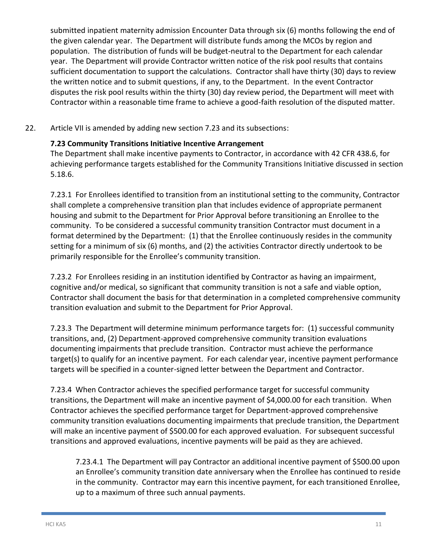submitted inpatient maternity admission Encounter Data through six (6) months following the end of the given calendar year. The Department will distribute funds among the MCOs by region and population. The distribution of funds will be budget-neutral to the Department for each calendar year. The Department will provide Contractor written notice of the risk pool results that contains sufficient documentation to support the calculations. Contractor shall have thirty (30) days to review the written notice and to submit questions, if any, to the Department. In the event Contractor disputes the risk pool results within the thirty (30) day review period, the Department will meet with Contractor within a reasonable time frame to achieve a good-faith resolution of the disputed matter.

22. Article VII is amended by adding new section 7.23 and its subsections:

#### **7.23 Community Transitions Initiative Incentive Arrangement**

The Department shall make incentive payments to Contractor, in accordance with 42 CFR 438.6, for achieving performance targets established for the Community Transitions Initiative discussed in section 5.18.6.

7.23.1 For Enrollees identified to transition from an institutional setting to the community, Contractor shall complete a comprehensive transition plan that includes evidence of appropriate permanent housing and submit to the Department for Prior Approval before transitioning an Enrollee to the community. To be considered a successful community transition Contractor must document in a format determined by the Department: (1) that the Enrollee continuously resides in the community setting for a minimum of six (6) months, and (2) the activities Contractor directly undertook to be primarily responsible for the Enrollee's community transition.

7.23.2 For Enrollees residing in an institution identified by Contractor as having an impairment, cognitive and/or medical, so significant that community transition is not a safe and viable option, Contractor shall document the basis for that determination in a completed comprehensive community transition evaluation and submit to the Department for Prior Approval.

7.23.3 The Department will determine minimum performance targets for: (1) successful community transitions, and, (2) Department-approved comprehensive community transition evaluations documenting impairments that preclude transition. Contractor must achieve the performance target(s) to qualify for an incentive payment. For each calendar year, incentive payment performance targets will be specified in a counter-signed letter between the Department and Contractor.

7.23.4 When Contractor achieves the specified performance target for successful community transitions, the Department will make an incentive payment of \$4,000.00 for each transition. When Contractor achieves the specified performance target for Department-approved comprehensive community transition evaluations documenting impairments that preclude transition, the Department will make an incentive payment of \$500.00 for each approved evaluation. For subsequent successful transitions and approved evaluations, incentive payments will be paid as they are achieved.

7.23.4.1 The Department will pay Contractor an additional incentive payment of \$500.00 upon an Enrollee's community transition date anniversary when the Enrollee has continued to reside in the community. Contractor may earn this incentive payment, for each transitioned Enrollee, up to a maximum of three such annual payments.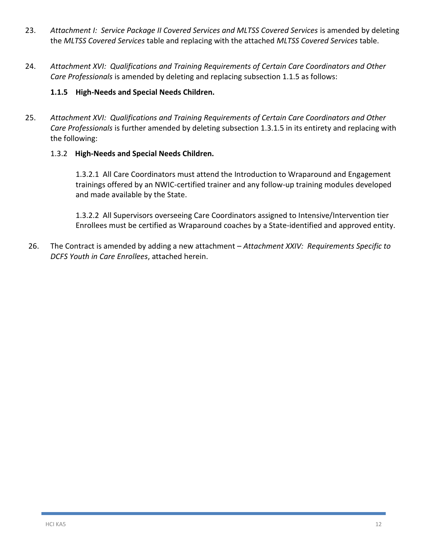- 23. *Attachment I: Service Package II Covered Services and MLTSS Covered Services* is amended by deleting the *MLTSS Covered Services* table and replacing with the attached *MLTSS Covered Services* table.
- 24. *Attachment XVI: Qualifications and Training Requirements of Certain Care Coordinators and Other Care Professionals* is amended by deleting and replacing subsection 1.1.5 as follows:

#### **1.1.5 High-Needs and Special Needs Children.**

25. *Attachment XVI: Qualifications and Training Requirements of Certain Care Coordinators and Other Care Professionals* is further amended by deleting subsection 1.3.1.5 in its entirety and replacing with the following:

#### 1.3.2 **High-Needs and Special Needs Children.**

1.3.2.1 All Care Coordinators must attend the Introduction to Wraparound and Engagement trainings offered by an NWIC-certified trainer and any follow-up training modules developed and made available by the State.

1.3.2.2 All Supervisors overseeing Care Coordinators assigned to Intensive/Intervention tier Enrollees must be certified as Wraparound coaches by a State-identified and approved entity.

26. The Contract is amended by adding a new attachment – *Attachment XXIV: Requirements Specific to DCFS Youth in Care Enrollees*, attached herein.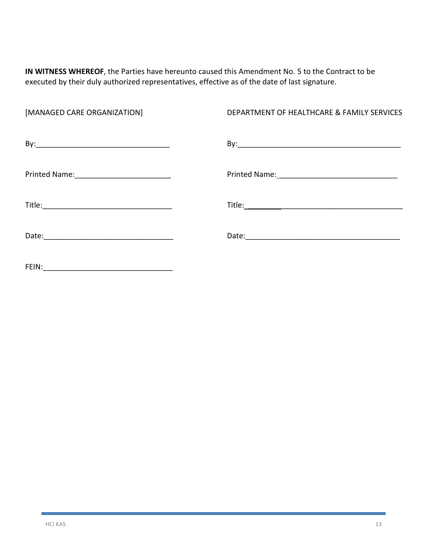**IN WITNESS WHEREOF**, the Parties have hereunto caused this Amendment No. 5 to the Contract to be executed by their duly authorized representatives, effective as of the date of last signature.

| [MANAGED CARE ORGANIZATION]                 | DEPARTMENT OF HEALTHCARE & FAMILY SERVICES |
|---------------------------------------------|--------------------------------------------|
|                                             |                                            |
| Printed Name: _____________________________ |                                            |
|                                             |                                            |
|                                             |                                            |
| FEIN:                                       |                                            |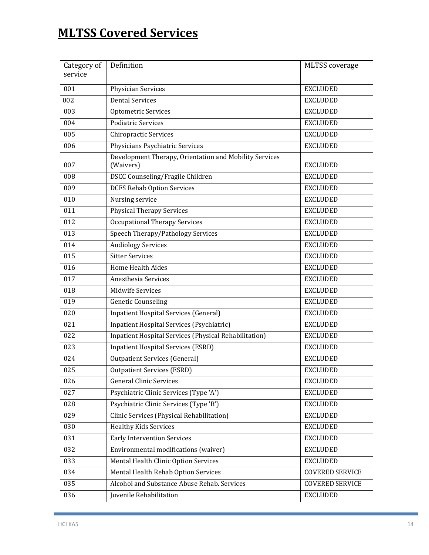# **MLTSS Covered Services**

| Category of | Definition                                                          | <b>MLTSS</b> coverage  |
|-------------|---------------------------------------------------------------------|------------------------|
| service     |                                                                     |                        |
| 001         | Physician Services                                                  | <b>EXCLUDED</b>        |
| 002         | <b>Dental Services</b>                                              | <b>EXCLUDED</b>        |
| 003         | Optometric Services                                                 | <b>EXCLUDED</b>        |
| 004         | <b>Podiatric Services</b>                                           | <b>EXCLUDED</b>        |
| 005         | <b>Chiropractic Services</b>                                        | <b>EXCLUDED</b>        |
| 006         | Physicians Psychiatric Services                                     | <b>EXCLUDED</b>        |
| 007         | Development Therapy, Orientation and Mobility Services<br>(Waivers) | <b>EXCLUDED</b>        |
| 008         | DSCC Counseling/Fragile Children                                    | <b>EXCLUDED</b>        |
| 009         | <b>DCFS Rehab Option Services</b>                                   | <b>EXCLUDED</b>        |
| 010         | Nursing service                                                     | <b>EXCLUDED</b>        |
| 011         | <b>Physical Therapy Services</b>                                    | <b>EXCLUDED</b>        |
| 012         | <b>Occupational Therapy Services</b>                                | <b>EXCLUDED</b>        |
| 013         | Speech Therapy/Pathology Services                                   | <b>EXCLUDED</b>        |
| 014         | <b>Audiology Services</b>                                           | <b>EXCLUDED</b>        |
| 015         | <b>Sitter Services</b>                                              | <b>EXCLUDED</b>        |
| 016         | Home Health Aides                                                   | <b>EXCLUDED</b>        |
| 017         | Anesthesia Services                                                 | <b>EXCLUDED</b>        |
| 018         | Midwife Services                                                    | <b>EXCLUDED</b>        |
| 019         | <b>Genetic Counseling</b>                                           | <b>EXCLUDED</b>        |
| 020         | <b>Inpatient Hospital Services (General)</b>                        | <b>EXCLUDED</b>        |
| 021         | Inpatient Hospital Services (Psychiatric)                           | <b>EXCLUDED</b>        |
| 022         | Inpatient Hospital Services (Physical Rehabilitation)               | <b>EXCLUDED</b>        |
| 023         | <b>Inpatient Hospital Services (ESRD)</b>                           | <b>EXCLUDED</b>        |
| 024         | <b>Outpatient Services (General)</b>                                | <b>EXCLUDED</b>        |
| 025         | <b>Outpatient Services (ESRD)</b>                                   | <b>EXCLUDED</b>        |
| 026         | <b>General Clinic Services</b>                                      | <b>EXCLUDED</b>        |
| 027         | Psychiatric Clinic Services (Type 'A')                              | <b>EXCLUDED</b>        |
| 028         | Psychiatric Clinic Services (Type 'B')                              | <b>EXCLUDED</b>        |
| 029         | Clinic Services (Physical Rehabilitation)                           | <b>EXCLUDED</b>        |
| 030         | <b>Healthy Kids Services</b>                                        | <b>EXCLUDED</b>        |
| 031         | <b>Early Intervention Services</b>                                  | <b>EXCLUDED</b>        |
| 032         | Environmental modifications (waiver)                                | <b>EXCLUDED</b>        |
| 033         | Mental Health Clinic Option Services                                | <b>EXCLUDED</b>        |
| 034         | Mental Health Rehab Option Services                                 | <b>COVERED SERVICE</b> |
| 035         | Alcohol and Substance Abuse Rehab. Services                         | <b>COVERED SERVICE</b> |
| 036         | Juvenile Rehabilitation                                             | <b>EXCLUDED</b>        |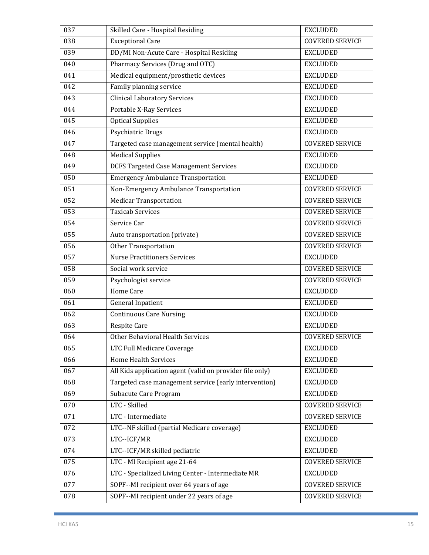| 037 | Skilled Care - Hospital Residing                         | <b>EXCLUDED</b>        |
|-----|----------------------------------------------------------|------------------------|
| 038 | <b>Exceptional Care</b>                                  | <b>COVERED SERVICE</b> |
| 039 | DD/MI Non-Acute Care - Hospital Residing                 | <b>EXCLUDED</b>        |
| 040 | Pharmacy Services (Drug and OTC)                         | <b>EXCLUDED</b>        |
| 041 | Medical equipment/prosthetic devices                     | <b>EXCLUDED</b>        |
| 042 | Family planning service                                  | <b>EXCLUDED</b>        |
| 043 | <b>Clinical Laboratory Services</b>                      | <b>EXCLUDED</b>        |
| 044 | Portable X-Ray Services                                  | <b>EXCLUDED</b>        |
| 045 | <b>Optical Supplies</b>                                  | <b>EXCLUDED</b>        |
| 046 | Psychiatric Drugs                                        | <b>EXCLUDED</b>        |
| 047 | Targeted case management service (mental health)         | <b>COVERED SERVICE</b> |
| 048 | <b>Medical Supplies</b>                                  | <b>EXCLUDED</b>        |
| 049 | <b>DCFS Targeted Case Management Services</b>            | <b>EXCLUDED</b>        |
| 050 | <b>Emergency Ambulance Transportation</b>                | <b>EXCLUDED</b>        |
| 051 | Non-Emergency Ambulance Transportation                   | <b>COVERED SERVICE</b> |
| 052 | <b>Medicar Transportation</b>                            | <b>COVERED SERVICE</b> |
| 053 | Taxicab Services                                         | <b>COVERED SERVICE</b> |
| 054 | Service Car                                              | <b>COVERED SERVICE</b> |
| 055 | Auto transportation (private)                            | <b>COVERED SERVICE</b> |
| 056 | Other Transportation                                     | <b>COVERED SERVICE</b> |
| 057 | <b>Nurse Practitioners Services</b>                      | <b>EXCLUDED</b>        |
| 058 | Social work service                                      | <b>COVERED SERVICE</b> |
| 059 | Psychologist service                                     | <b>COVERED SERVICE</b> |
| 060 | Home Care                                                | <b>EXCLUDED</b>        |
| 061 | <b>General Inpatient</b>                                 | <b>EXCLUDED</b>        |
| 062 | <b>Continuous Care Nursing</b>                           | <b>EXCLUDED</b>        |
| 063 | <b>Respite Care</b>                                      | <b>EXCLUDED</b>        |
| 064 | Other Behavioral Health Services                         | <b>COVERED SERVICE</b> |
| 065 | LTC Full Medicare Coverage                               | <b>EXCLUDED</b>        |
| 066 | <b>Home Health Services</b>                              | <b>EXCLUDED</b>        |
| 067 | All Kids application agent (valid on provider file only) | <b>EXCLUDED</b>        |
| 068 | Targeted case management service (early intervention)    | <b>EXCLUDED</b>        |
| 069 | Subacute Care Program                                    | <b>EXCLUDED</b>        |
| 070 | LTC - Skilled                                            | <b>COVERED SERVICE</b> |
| 071 | LTC - Intermediate                                       | <b>COVERED SERVICE</b> |
| 072 | LTC--NF skilled (partial Medicare coverage)              | <b>EXCLUDED</b>        |
| 073 | LTC--ICF/MR                                              | <b>EXCLUDED</b>        |
| 074 | LTC--ICF/MR skilled pediatric                            | <b>EXCLUDED</b>        |
| 075 | LTC - MI Recipient age 21-64                             | <b>COVERED SERVICE</b> |
| 076 | LTC - Specialized Living Center - Intermediate MR        | <b>EXCLUDED</b>        |
| 077 | SOPF--MI recipient over 64 years of age                  | <b>COVERED SERVICE</b> |
| 078 | SOPF--MI recipient under 22 years of age                 | <b>COVERED SERVICE</b> |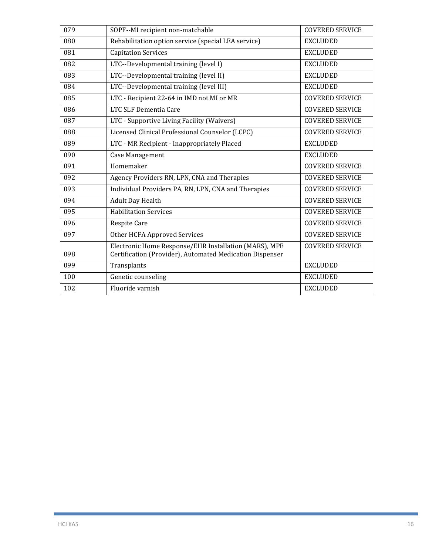| 079 | SOPF--MI recipient non-matchable                                                                                  | <b>COVERED SERVICE</b> |
|-----|-------------------------------------------------------------------------------------------------------------------|------------------------|
| 080 | Rehabilitation option service (special LEA service)                                                               | <b>EXCLUDED</b>        |
| 081 | <b>Capitation Services</b>                                                                                        | <b>EXCLUDED</b>        |
| 082 | LTC--Developmental training (level I)                                                                             | <b>EXCLUDED</b>        |
| 083 | LTC--Developmental training (level II)                                                                            | <b>EXCLUDED</b>        |
| 084 | LTC--Developmental training (level III)                                                                           | <b>EXCLUDED</b>        |
| 085 | LTC - Recipient 22-64 in IMD not MI or MR                                                                         | <b>COVERED SERVICE</b> |
| 086 | LTC SLF Dementia Care                                                                                             | <b>COVERED SERVICE</b> |
| 087 | LTC - Supportive Living Facility (Waivers)                                                                        | <b>COVERED SERVICE</b> |
| 088 | Licensed Clinical Professional Counselor (LCPC)                                                                   | <b>COVERED SERVICE</b> |
| 089 | LTC - MR Recipient - Inappropriately Placed                                                                       | <b>EXCLUDED</b>        |
| 090 | Case Management                                                                                                   | <b>EXCLUDED</b>        |
| 091 | Homemaker                                                                                                         | <b>COVERED SERVICE</b> |
| 092 | Agency Providers RN, LPN, CNA and Therapies                                                                       | <b>COVERED SERVICE</b> |
| 093 | Individual Providers PA, RN, LPN, CNA and Therapies                                                               | <b>COVERED SERVICE</b> |
| 094 | Adult Day Health                                                                                                  | <b>COVERED SERVICE</b> |
| 095 | <b>Habilitation Services</b>                                                                                      | <b>COVERED SERVICE</b> |
| 096 | <b>Respite Care</b>                                                                                               | <b>COVERED SERVICE</b> |
| 097 | Other HCFA Approved Services                                                                                      | <b>COVERED SERVICE</b> |
| 098 | Electronic Home Response/EHR Installation (MARS), MPE<br>Certification (Provider), Automated Medication Dispenser | <b>COVERED SERVICE</b> |
| 099 | Transplants                                                                                                       | <b>EXCLUDED</b>        |
| 100 | Genetic counseling                                                                                                | <b>EXCLUDED</b>        |
| 102 | Fluoride varnish                                                                                                  | <b>EXCLUDED</b>        |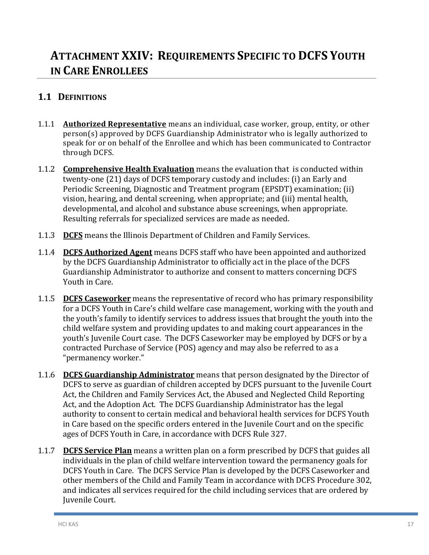## **1. ATTACHMENT XXIV: REQUIREMENTS SPECIFIC TO DCFS YOUTH IN CARE ENROLLEES**

## **1.1 DEFINITIONS**

- 1.1.1 **Authorized Representative** means an individual, case worker, group, entity, or other person(s) approved by DCFS Guardianship Administrator who is legally authorized to speak for or on behalf of the Enrollee and which has been communicated to Contractor through DCFS.
- 1.1.2 **Comprehensive Health Evaluation** means the evaluation that is conducted within twenty-one (21) days of DCFS temporary custody and includes: (i) an Early and Periodic Screening, Diagnostic and Treatment program (EPSDT) examination; (ii) vision, hearing, and dental screening, when appropriate; and (iii) mental health, developmental, and alcohol and substance abuse screenings, when appropriate. Resulting referrals for specialized services are made as needed.
- 1.1.3 **DCFS** means the Illinois Department of Children and Family Services.
- 1.1.4 **DCFS Authorized Agent** means DCFS staff who have been appointed and authorized by the DCFS Guardianship Administrator to officially act in the place of the DCFS Guardianship Administrator to authorize and consent to matters concerning DCFS Youth in Care.
- 1.1.5 **DCFS Caseworker** means the representative of record who has primary responsibility for a DCFS Youth in Care's child welfare case management, working with the youth and the youth's family to identify services to address issues that brought the youth into the child welfare system and providing updates to and making court appearances in the youth's Juvenile Court case. The DCFS Caseworker may be employed by DCFS or by a contracted Purchase of Service (POS) agency and may also be referred to as a "permanency worker."
- 1.1.6 **DCFS Guardianship Administrator** means that person designated by the Director of DCFS to serve as guardian of children accepted by DCFS pursuant to the Juvenile Court Act, the Children and Family Services Act, the Abused and Neglected Child Reporting Act, and the Adoption Act. The DCFS Guardianship Administrator has the legal authority to consent to certain medical and behavioral health services for DCFS Youth in Care based on the specific orders entered in the Juvenile Court and on the specific ages of DCFS Youth in Care, in accordance with DCFS Rule 327.
- 1.1.7 **DCFS Service Plan** means a written plan on a form prescribed by DCFS that guides all individuals in the plan of child welfare intervention toward the permanency goals for DCFS Youth in Care. The DCFS Service Plan is developed by the DCFS Caseworker and other members of the Child and Family Team in accordance with DCFS Procedure 302, and indicates all services required for the child including services that are ordered by Juvenile Court.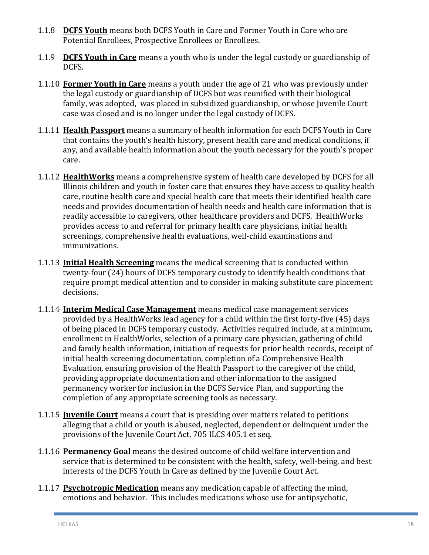- 1.1.8 **DCFS Youth** means both DCFS Youth in Care and Former Youth in Care who are Potential Enrollees, Prospective Enrollees or Enrollees.
- 1.1.9 **DCFS Youth in Care** means a youth who is under the legal custody or guardianship of DCFS.
- 1.1.10 **Former Youth in Care** means a youth under the age of 21 who was previously under the legal custody or guardianship of DCFS but was reunified with their biological family, was adopted, was placed in subsidized guardianship, or whose Juvenile Court case was closed and is no longer under the legal custody of DCFS.
- 1.1.11 **Health Passport** means a summary of health information for each DCFS Youth in Care that contains the youth's health history, present health care and medical conditions, if any, and available health information about the youth necessary for the youth's proper care.
- 1.1.12 **HealthWorks** means a comprehensive system of health care developed by DCFS for all Illinois children and youth in foster care that ensures they have access to quality health care, routine health care and special health care that meets their identified health care needs and provides documentation of health needs and health care information that is readily accessible to caregivers, other healthcare providers and DCFS. HealthWorks provides access to and referral for primary health care physicians, initial health screenings, comprehensive health evaluations, well-child examinations and immunizations.
- 1.1.13 **Initial Health Screening** means the medical screening that is conducted within twenty-four (24) hours of DCFS temporary custody to identify health conditions that require prompt medical attention and to consider in making substitute care placement decisions.
- 1.1.14 **Interim Medical Case Management** means medical case management services provided by a HealthWorks lead agency for a child within the first forty-five (45) days of being placed in DCFS temporary custody. Activities required include, at a minimum, enrollment in HealthWorks, selection of a primary care physician, gathering of child and family health information, initiation of requests for prior health records, receipt of initial health screening documentation, completion of a Comprehensive Health Evaluation, ensuring provision of the Health Passport to the caregiver of the child, providing appropriate documentation and other information to the assigned permanency worker for inclusion in the DCFS Service Plan, and supporting the completion of any appropriate screening tools as necessary.
- 1.1.15 **Juvenile Court** means a court that is presiding over matters related to petitions alleging that a child or youth is abused, neglected, dependent or delinquent under the provisions of the Juvenile Court Act, 705 ILCS 405.1 et seq.
- 1.1.16 **Permanency Goal** means the desired outcome of child welfare intervention and service that is determined to be consistent with the health, safety, well-being, and best interests of the DCFS Youth in Care as defined by the Juvenile Court Act.
- 1.1.17 **Psychotropic Medication** means any medication capable of affecting the mind, emotions and behavior. This includes medications whose use for antipsychotic,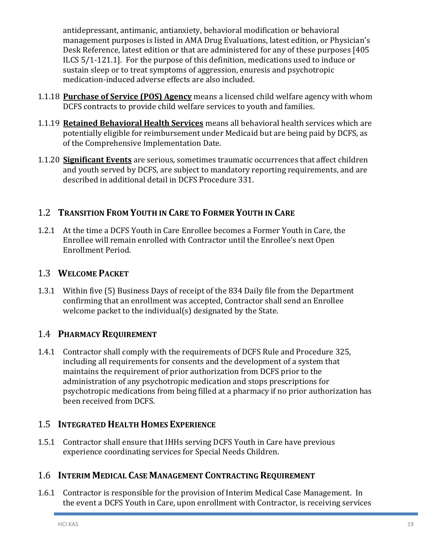antidepressant, antimanic, antianxiety, behavioral modification or behavioral management purposes is listed in AMA Drug Evaluations, latest edition, or Physician's Desk Reference, latest edition or that are administered for any of these purposes [405 ILCS 5/1-121.1]. For the purpose of this definition, medications used to induce or sustain sleep or to treat symptoms of aggression, enuresis and psychotropic medication-induced adverse effects are also included.

- 1.1.18 **Purchase of Service (POS) Agency** means a licensed child welfare agency with whom DCFS contracts to provide child welfare services to youth and families.
- 1.1.19 **Retained Behavioral Health Services** means all behavioral health services which are potentially eligible for reimbursement under Medicaid but are being paid by DCFS, as of the Comprehensive Implementation Date.
- 1.1.20 **Significant Events** are serious, sometimes traumatic occurrences that affect children and youth served by DCFS, are subject to mandatory reporting requirements, and are described in additional detail in DCFS Procedure 331.

## 1.2 **TRANSITION FROM YOUTH IN CARE TO FORMER YOUTH IN CARE**

1.2.1 At the time a DCFS Youth in Care Enrollee becomes a Former Youth in Care, the Enrollee will remain enrolled with Contractor until the Enrollee's next Open Enrollment Period.

## 1.3 **WELCOME PACKET**

1.3.1 Within five (5) Business Days of receipt of the 834 Daily file from the Department confirming that an enrollment was accepted, Contractor shall send an Enrollee welcome packet to the individual(s) designated by the State.

## 1.4 **PHARMACY REQUIREMENT**

1.4.1 Contractor shall comply with the requirements of DCFS Rule and Procedure 325, including all requirements for consents and the development of a system that maintains the requirement of prior authorization from DCFS prior to the administration of any psychotropic medication and stops prescriptions for psychotropic medications from being filled at a pharmacy if no prior authorization has been received from DCFS.

## 1.5 **INTEGRATED HEALTH HOMES EXPERIENCE**

1.5.1 Contractor shall ensure that IHHs serving DCFS Youth in Care have previous experience coordinating services for Special Needs Children.

## 1.6 **INTERIM MEDICAL CASE MANAGEMENT CONTRACTING REQUIREMENT**

1.6.1 Contractor is responsible for the provision of Interim Medical Case Management. In the event a DCFS Youth in Care, upon enrollment with Contractor, is receiving services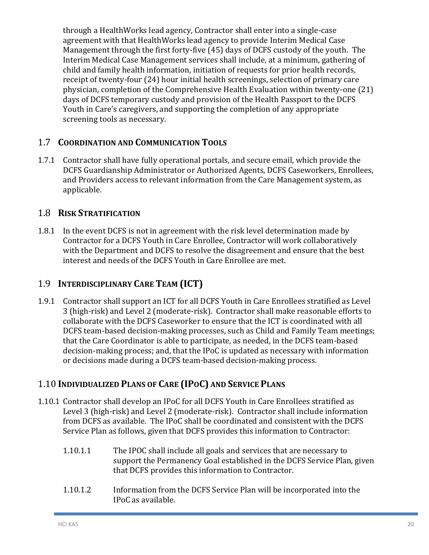through a HealthWorks lead agency, Contractor shall enter into a single-case agreement with that HealthWorks lead agency to provide Interim Medical Case Management through the first forty-five (45) days of DCFS custody of the youth. The Interim Medical Case Management services shall include, at a minimum, gathering of child and family health information, initiation of requests for prior health records, receipt of twenty-four (24) hour initial health screenings, selection of primary care physician, completion of the Comprehensive Health Evaluation within twenty-one (21) days of DCFS temporary custody and provision of the Health Passport to the DCFS Youth in Care's caregivers, and supporting the completion of any appropriate screening tools as necessary.

## 1.7 **COORDINATION AND COMMUNICATION TOOLS**

1.7.1 Contractor shall have fully operational portals, and secure email, which provide the DCFS Guardianship Administrator or Authorized Agents, DCFS Caseworkers, Enrollees, and Providers access to relevant information from the Care Management system, as applicable.

## 1.8 **RISK STRATIFICATION**

1.8.1 In the event DCFS is not in agreement with the risk level determination made by Contractor for a DCFS Youth in Care Enrollee, Contractor will work collaboratively with the Department and DCFS to resolve the disagreement and ensure that the best interest and needs of the DCFS Youth in Care Enrollee are met.

## 1.9 **INTERDISCIPLINARY CARE TEAM (ICT)**

1.9.1 Contractor shall support an ICT for all DCFS Youth in Care Enrollees stratified as Level 3 (high-risk) and Level 2 (moderate-risk). Contractor shall make reasonable efforts to collaborate with the DCFS Caseworker to ensure that the ICT is coordinated with all DCFS team-based decision-making processes, such as Child and Family Team meetings; that the Care Coordinator is able to participate, as needed, in the DCFS team-based decision-making process; and, that the IPoC is updated as necessary with information or decisions made during a DCFS team-based decision-making process.

## 1.10 **INDIVIDUALIZED PLANS OF CARE (IPOC) AND SERVICE PLANS**

- 1.10.1 Contractor shall develop an IPoC for all DCFS Youth in Care Enrollees stratified as Level 3 (high-risk) and Level 2 (moderate-risk). Contractor shall include information from DCFS as available. The IPoC shall be coordinated and consistent with the DCFS Service Plan as follows, given that DCFS provides this information to Contractor:
	- 1.10.1.1 The IPOC shall include all goals and services that are necessary to support the Permanency Goal established in the DCFS Service Plan, given that DCFS provides this information to Contractor.
	- 1.10.1.2 Information from the DCFS Service Plan will be incorporated into the IPoC as available.